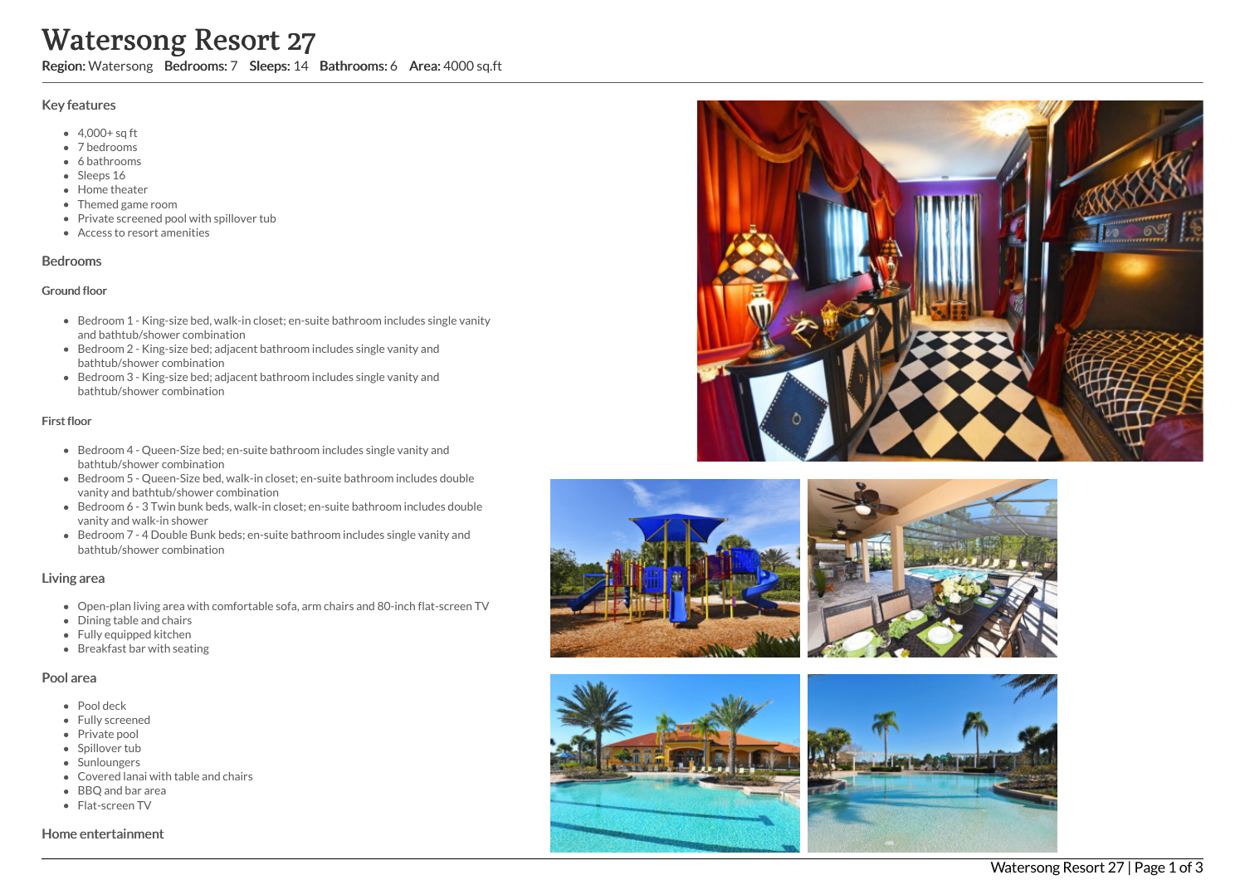# Watersong Resort 27

Region: Watersong Bedrooms: 7 Sleeps: 14 Bathrooms: 6 Area: 4000 sq.ft

## Key features

- 4,000+ sq ft
- 7 b e d r o o m s
- 6 bathrooms
- Sleeps 16
- Home theater
- Themed game room
- Private screened pool with spillover tub
- Access to resort amenities

#### **Bedrooms**

#### Ground floor

- Bedroom 1 King-size bed, walk-in closet; en-suite bathroom includes single vanity and bathtub/shower combination
- Bedroom 2 King-size bed; adjacent bathroom includes single vanity and bathtub/shower combination
- Bedroom 3 King-size bed; adjacent bathroom includes single vanity and bathtub/shower combination

## First floor

- Bedroom 4 Queen-Size bed; en-suite bathroom includes single vanity and bathtub/shower combination
- Bedroom 5 Queen-Size bed, walk-in closet; en-suite bathroom includes double vanity and bathtub/shower combination
- Bedroom 6 3 Twin bunk beds, walk-in closet; en-suite bathroom includes double vanity and walk-in shower
- Bedroom 7 4 Double Bunk beds; en-suite bathroom includes single vanity and bathtub/shower combination

## Living area

- Open-plan living area with comfortable sofa, arm chairs and 80-inch flat-screen TV
- Dining table and chairs
- Fully equipped kitchen
- Breakfast bar with seating

## Pool area

- Pool deck
- Fully screened
- Private pool
- Spillover tub
- Sunloungers
- Covered lanai with table and chairs
- BBQ and bar area
- Flat-screen TV

Home entertainment









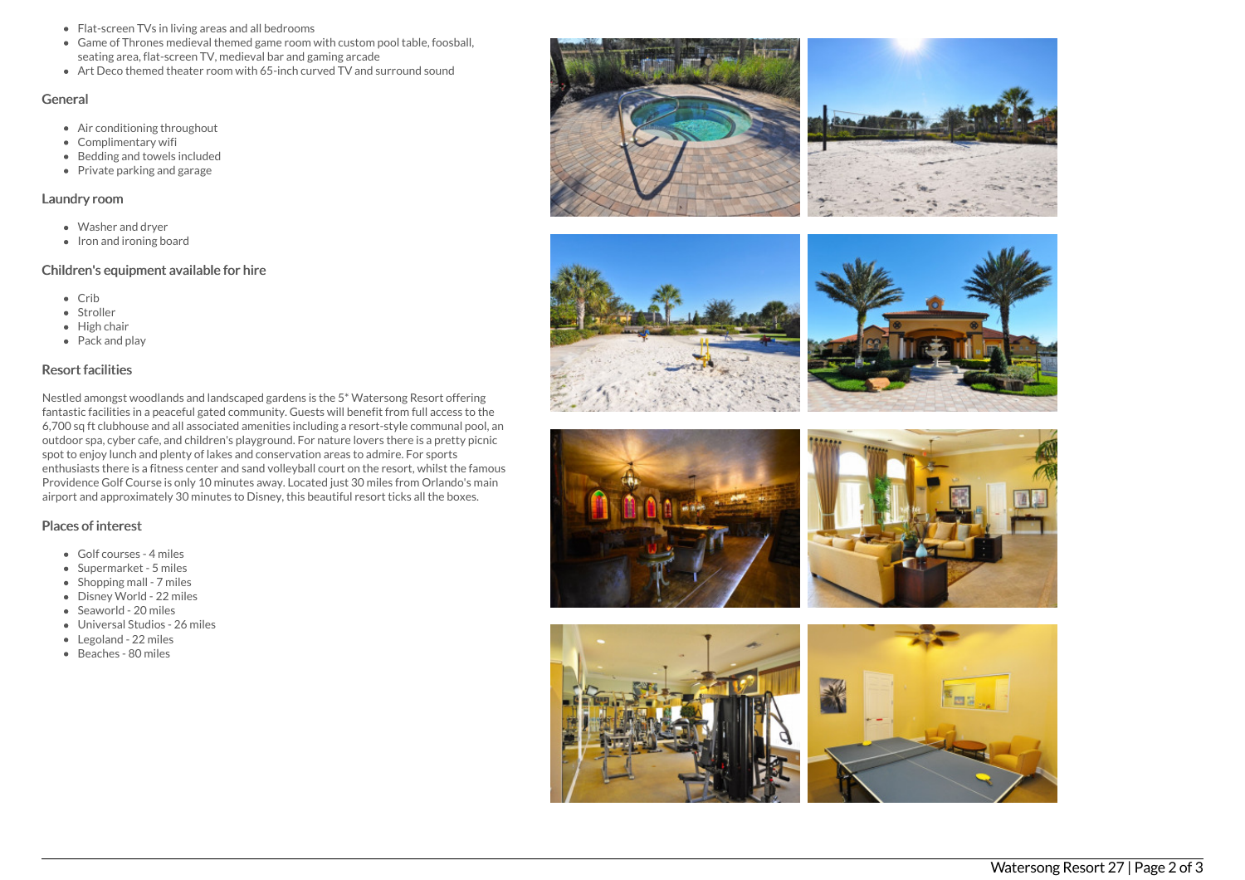- Flat-screen TVs in living areas and all bedrooms
- Game of Thrones medieval themed game room with custom pool table, foosball, seating area, flat-screen TV, medieval bar and gaming arcade
- Art Deco themed theater room with 65-inch curved TV and surround sound

#### General

- Air conditioning throughout
- Complimentary wifi
- Bedding and towels included
- Private parking and garage

## Laundry room

- Washer and dryer
- Iron and ironing board

## Children's equipment available for hire

- Crib
- Stroller
- High chair
- Pack and play

## Resort facilities

Nestled amongst woodlands and landscaped gardens is the 5\* Watersong Resort offering fantastic facilities in a peaceful gated community. Guests will benefit from full access to the 6,700 sq ft clubhouse and all associated amenities including a resort-style communal pool, an outdoor spa, cyber cafe, and children's playground. For nature lovers there is a pretty picnic spot to enjoy lunch and plenty of lakes and conservation areas to admire. For sports enthusiasts there is a fitness center and sand volleyball court on the resort, whilst the famous Providence Golf Course is only 10 minutes away. Located just 30 miles from Orlando's main airport and approximately 30 minutes to Disney, this beautiful resort ticks all the boxes.

## Places of interest

- Golf courses 4 miles
- Supermarket 5 miles
- $\bullet$  Shopping mall 7 miles
- Disney World 22 miles
- Seaworld 20 miles
- Universal Studios 26 miles
- Legoland 22 miles
- Beaches 80 miles